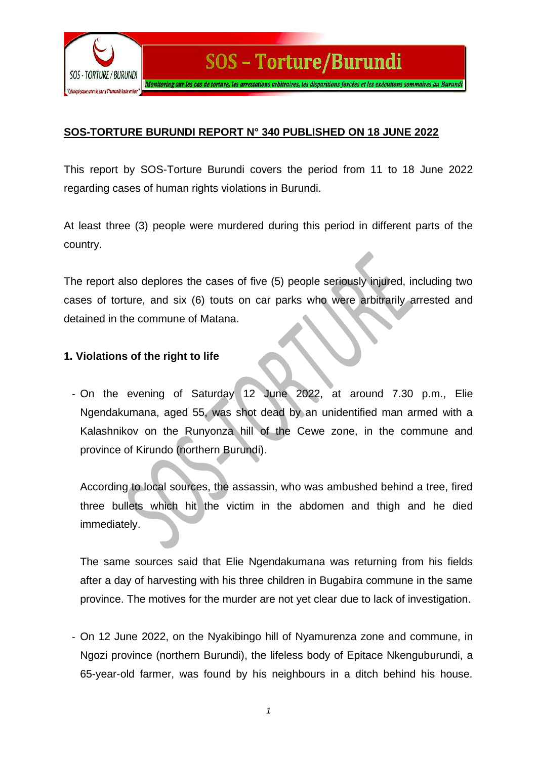

### **SOS-TORTURE BURUNDI REPORT N° 340 PUBLISHED ON 18 JUNE 2022**

This report by SOS-Torture Burundi covers the period from 11 to 18 June 2022 regarding cases of human rights violations in Burundi.

At least three (3) people were murdered during this period in different parts of the country.

The report also deplores the cases of five (5) people seriously injured, including two cases of torture, and six (6) touts on car parks who were arbitrarily arrested and detained in the commune of Matana.

#### **1. Violations of the right to life**

- On the evening of Saturday 12 June 2022, at around 7.30 p.m., Elie Ngendakumana, aged 55, was shot dead by an unidentified man armed with a Kalashnikov on the Runyonza hill of the Cewe zone, in the commune and province of Kirundo (northern Burundi).

According to local sources, the assassin, who was ambushed behind a tree, fired three bullets which hit the victim in the abdomen and thigh and he died immediately.

The same sources said that Elie Ngendakumana was returning from his fields after a day of harvesting with his three children in Bugabira commune in the same province. The motives for the murder are not yet clear due to lack of investigation.

- On 12 June 2022, on the Nyakibingo hill of Nyamurenza zone and commune, in Ngozi province (northern Burundi), the lifeless body of Epitace Nkenguburundi, a 65-year-old farmer, was found by his neighbours in a ditch behind his house.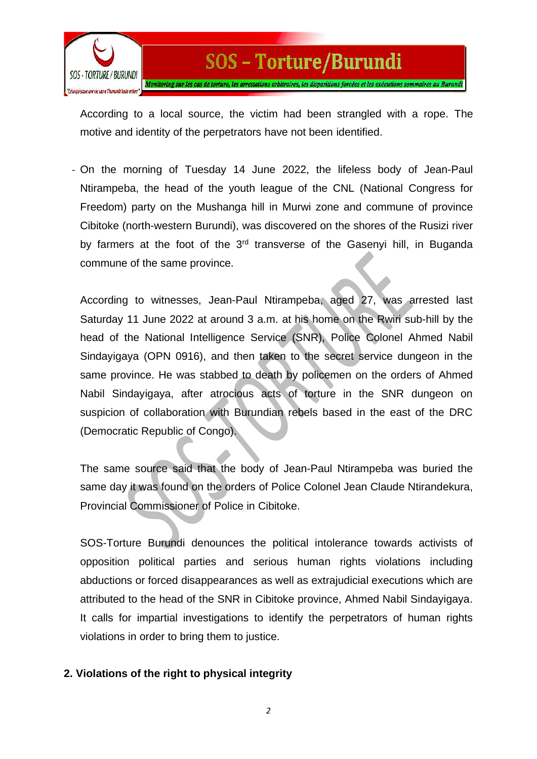

According to a local source, the victim had been strangled with a rope. The motive and identity of the perpetrators have not been identified.

- On the morning of Tuesday 14 June 2022, the lifeless body of Jean-Paul Ntirampeba, the head of the youth league of the CNL (National Congress for Freedom) party on the Mushanga hill in Murwi zone and commune of province Cibitoke (north-western Burundi), was discovered on the shores of the Rusizi river by farmers at the foot of the 3<sup>rd</sup> transverse of the Gasenyi hill, in Buganda commune of the same province.

According to witnesses, Jean-Paul Ntirampeba, aged 27, was arrested last Saturday 11 June 2022 at around 3 a.m. at his home on the Rwiri sub-hill by the head of the National Intelligence Service (SNR), Police Colonel Ahmed Nabil Sindayigaya (OPN 0916), and then taken to the secret service dungeon in the same province. He was stabbed to death by policemen on the orders of Ahmed Nabil Sindayigaya, after atrocious acts of torture in the SNR dungeon on suspicion of collaboration with Burundian rebels based in the east of the DRC (Democratic Republic of Congo).

The same source said that the body of Jean-Paul Ntirampeba was buried the same day it was found on the orders of Police Colonel Jean Claude Ntirandekura, Provincial Commissioner of Police in Cibitoke.

SOS-Torture Burundi denounces the political intolerance towards activists of opposition political parties and serious human rights violations including abductions or forced disappearances as well as extrajudicial executions which are attributed to the head of the SNR in Cibitoke province, Ahmed Nabil Sindayigaya. It calls for impartial investigations to identify the perpetrators of human rights violations in order to bring them to justice.

### **2. Violations of the right to physical integrity**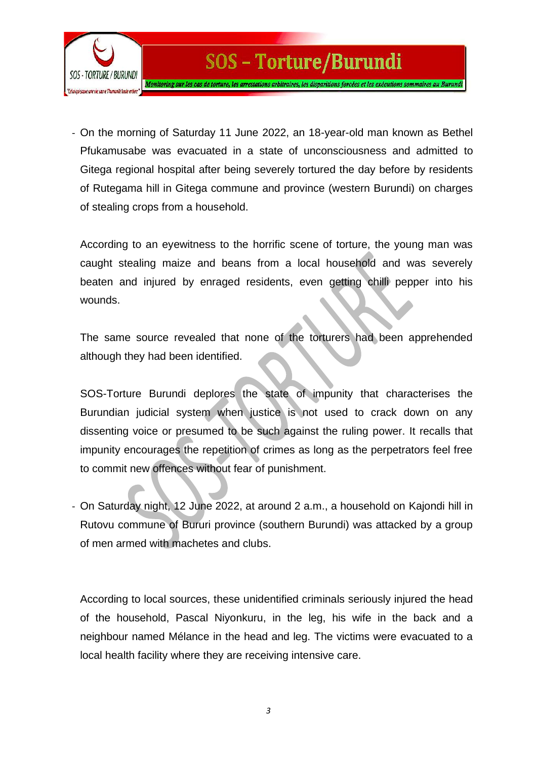

## - On the morning of Saturday 11 June 2022, an 18-year-old man known as Bethel Pfukamusabe was evacuated in a state of unconsciousness and admitted to Gitega regional hospital after being severely tortured the day before by residents of Rutegama hill in Gitega commune and province (western Burundi) on charges of stealing crops from a household.

SOS - Torture/Burundi

According to an eyewitness to the horrific scene of torture, the young man was caught stealing maize and beans from a local household and was severely beaten and injured by enraged residents, even getting chilli pepper into his wounds.

The same source revealed that none of the torturers had been apprehended although they had been identified.

SOS-Torture Burundi deplores the state of impunity that characterises the Burundian judicial system when justice is not used to crack down on any dissenting voice or presumed to be such against the ruling power. It recalls that impunity encourages the repetition of crimes as long as the perpetrators feel free to commit new offences without fear of punishment.

- On Saturday night, 12 June 2022, at around 2 a.m., a household on Kajondi hill in Rutovu commune of Bururi province (southern Burundi) was attacked by a group of men armed with machetes and clubs.

According to local sources, these unidentified criminals seriously injured the head of the household, Pascal Niyonkuru, in the leg, his wife in the back and a neighbour named Mélance in the head and leg. The victims were evacuated to a local health facility where they are receiving intensive care.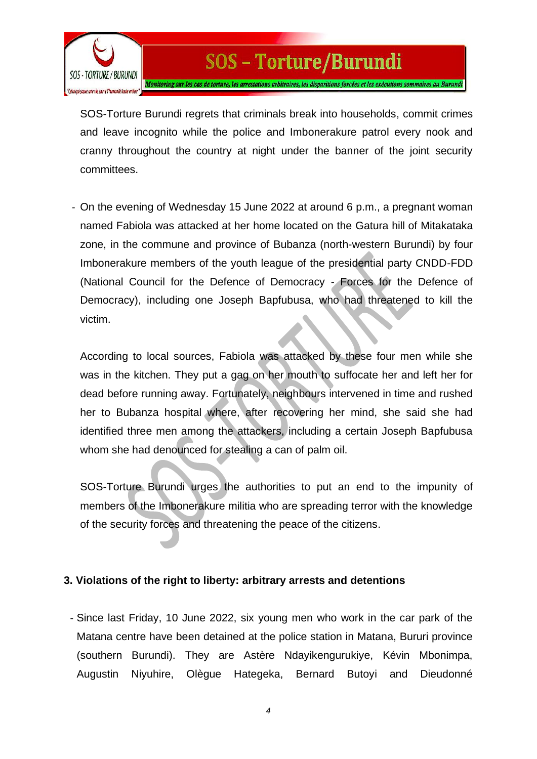

SOS-Torture Burundi regrets that criminals break into households, commit crimes and leave incognito while the police and Imbonerakure patrol every nook and cranny throughout the country at night under the banner of the joint security committees.

- On the evening of Wednesday 15 June 2022 at around 6 p.m., a pregnant woman named Fabiola was attacked at her home located on the Gatura hill of Mitakataka zone, in the commune and province of Bubanza (north-western Burundi) by four Imbonerakure members of the youth league of the presidential party CNDD-FDD (National Council for the Defence of Democracy - Forces for the Defence of Democracy), including one Joseph Bapfubusa, who had threatened to kill the victim.

According to local sources, Fabiola was attacked by these four men while she was in the kitchen. They put a gag on her mouth to suffocate her and left her for dead before running away. Fortunately, neighbours intervened in time and rushed her to Bubanza hospital where, after recovering her mind, she said she had identified three men among the attackers, including a certain Joseph Bapfubusa whom she had denounced for stealing a can of palm oil.

SOS-Torture Burundi urges the authorities to put an end to the impunity of members of the Imbonerakure militia who are spreading terror with the knowledge of the security forces and threatening the peace of the citizens.

### **3. Violations of the right to liberty: arbitrary arrests and detentions**

- Since last Friday, 10 June 2022, six young men who work in the car park of the Matana centre have been detained at the police station in Matana, Bururi province (southern Burundi). They are Astère Ndayikengurukiye, Kévin Mbonimpa, Augustin Niyuhire, Olègue Hategeka, Bernard Butoyi and Dieudonné